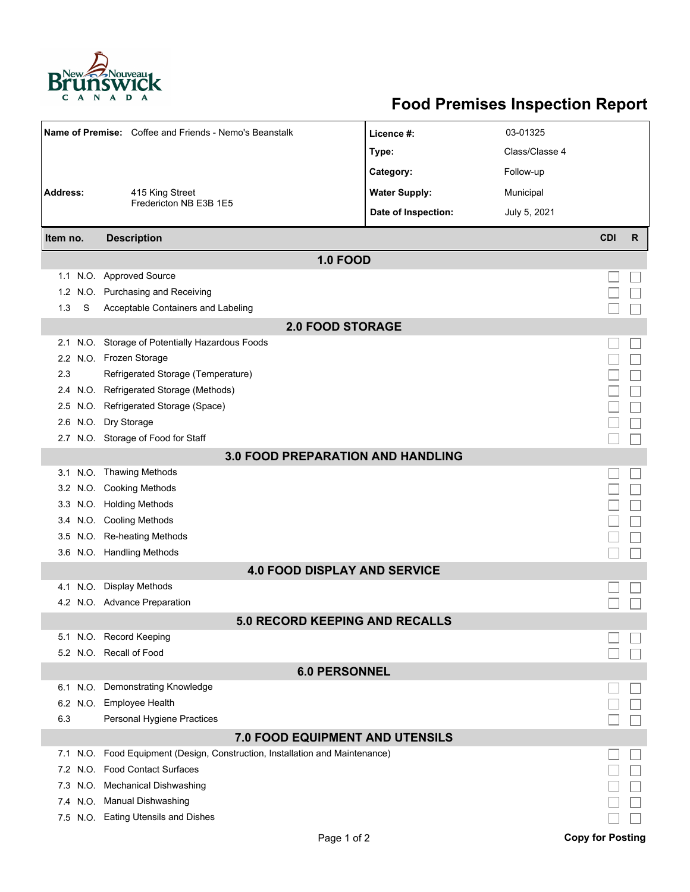

## **Food Premises Inspection Report**

| Name of Premise: Coffee and Friends - Nemo's Beanstalk |                                                                          | Licence #:           | 03-01325       |            |   |  |  |  |  |
|--------------------------------------------------------|--------------------------------------------------------------------------|----------------------|----------------|------------|---|--|--|--|--|
|                                                        |                                                                          | Type:                | Class/Classe 4 |            |   |  |  |  |  |
|                                                        |                                                                          | Category:            | Follow-up      |            |   |  |  |  |  |
| <b>Address:</b><br>415 King Street                     |                                                                          | <b>Water Supply:</b> | Municipal      |            |   |  |  |  |  |
|                                                        | Fredericton NB E3B 1E5                                                   |                      |                |            |   |  |  |  |  |
|                                                        |                                                                          | Date of Inspection:  | July 5, 2021   |            |   |  |  |  |  |
| Item no.                                               | <b>Description</b>                                                       |                      |                | <b>CDI</b> | R |  |  |  |  |
| <b>1.0 FOOD</b>                                        |                                                                          |                      |                |            |   |  |  |  |  |
|                                                        | 1.1 N.O. Approved Source                                                 |                      |                |            |   |  |  |  |  |
| 1.2 <sub>1</sub>                                       | N.O. Purchasing and Receiving                                            |                      |                |            |   |  |  |  |  |
| S<br>1.3                                               | Acceptable Containers and Labeling                                       |                      |                |            |   |  |  |  |  |
| <b>2.0 FOOD STORAGE</b>                                |                                                                          |                      |                |            |   |  |  |  |  |
| 2.1                                                    | N.O. Storage of Potentially Hazardous Foods                              |                      |                |            |   |  |  |  |  |
| $2.2^{\circ}$                                          | N.O. Frozen Storage                                                      |                      |                |            |   |  |  |  |  |
| 2.3                                                    | Refrigerated Storage (Temperature)                                       |                      |                |            |   |  |  |  |  |
| 2.4                                                    | N.O. Refrigerated Storage (Methods)                                      |                      |                |            |   |  |  |  |  |
|                                                        | 2.5 N.O. Refrigerated Storage (Space)                                    |                      |                |            |   |  |  |  |  |
| 2.6                                                    | N.O. Dry Storage                                                         |                      |                |            |   |  |  |  |  |
|                                                        | 2.7 N.O. Storage of Food for Staff                                       |                      |                |            |   |  |  |  |  |
| <b>3.0 FOOD PREPARATION AND HANDLING</b>               |                                                                          |                      |                |            |   |  |  |  |  |
|                                                        | 3.1 N.O. Thawing Methods                                                 |                      |                |            |   |  |  |  |  |
|                                                        | 3.2 N.O. Cooking Methods                                                 |                      |                |            |   |  |  |  |  |
|                                                        | 3.3 N.O. Holding Methods                                                 |                      |                |            |   |  |  |  |  |
| 3.4                                                    | N.O. Cooling Methods                                                     |                      |                |            |   |  |  |  |  |
| 3.5                                                    | N.O. Re-heating Methods                                                  |                      |                |            |   |  |  |  |  |
|                                                        | 3.6 N.O. Handling Methods                                                |                      |                |            |   |  |  |  |  |
| <b>4.0 FOOD DISPLAY AND SERVICE</b>                    |                                                                          |                      |                |            |   |  |  |  |  |
|                                                        | 4.1 N.O. Display Methods                                                 |                      |                |            |   |  |  |  |  |
|                                                        | 4.2 N.O. Advance Preparation                                             |                      |                |            |   |  |  |  |  |
|                                                        | <b>5.0 RECORD KEEPING AND RECALLS</b>                                    |                      |                |            |   |  |  |  |  |
|                                                        | 5.1 N.O. Record Keeping                                                  |                      |                |            |   |  |  |  |  |
|                                                        | 5.2 N.O. Recall of Food                                                  |                      |                |            |   |  |  |  |  |
| <b>6.0 PERSONNEL</b>                                   |                                                                          |                      |                |            |   |  |  |  |  |
|                                                        | 6.1 N.O. Demonstrating Knowledge                                         |                      |                |            |   |  |  |  |  |
| 6.2                                                    | N.O. Employee Health                                                     |                      |                |            |   |  |  |  |  |
| 6.3                                                    | Personal Hygiene Practices                                               |                      |                |            |   |  |  |  |  |
|                                                        | 7.0 FOOD EQUIPMENT AND UTENSILS                                          |                      |                |            |   |  |  |  |  |
| 7.1                                                    | N.O. Food Equipment (Design, Construction, Installation and Maintenance) |                      |                |            |   |  |  |  |  |
| 7.2                                                    | N.O. Food Contact Surfaces                                               |                      |                |            |   |  |  |  |  |
| 7.3                                                    | N.O. Mechanical Dishwashing                                              |                      |                |            |   |  |  |  |  |
|                                                        | 7.4 N.O. Manual Dishwashing                                              |                      |                |            |   |  |  |  |  |
|                                                        | 7.5 N.O. Eating Utensils and Dishes                                      |                      |                |            |   |  |  |  |  |